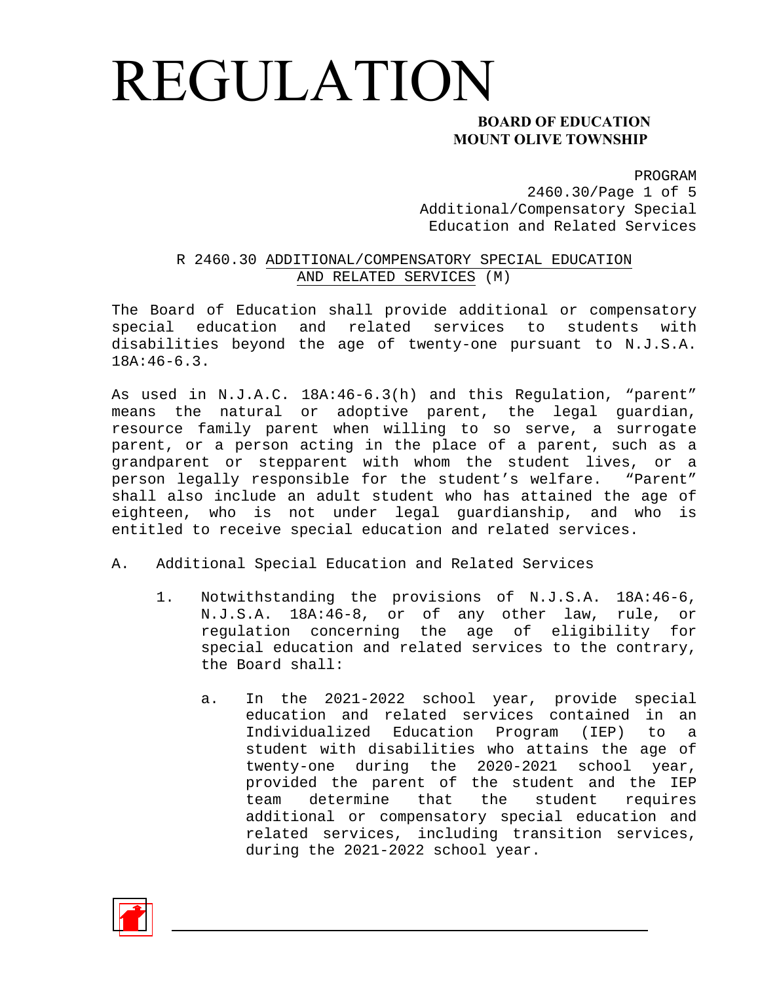### **MOUNT OLIVE TOWNSHIP**

PROGRAM

2460.30/Page 1 of 5 Additional/Compensatory Special Education and Related Services

#### R 2460.30 ADDITIONAL/COMPENSATORY SPECIAL EDUCATION AND RELATED SERVICES (M)

The Board of Education shall provide additional or compensatory special education and related services to students with disabilities beyond the age of twenty-one pursuant to N.J.S.A. 18A:46-6.3.

As used in N.J.A.C. 18A:46-6.3(h) and this Regulation, "parent" means the natural or adoptive parent, the legal guardian, resource family parent when willing to so serve, a surrogate parent, or a person acting in the place of a parent, such as a grandparent or stepparent with whom the student lives, or a person legally responsible for the student's welfare. "Parent" shall also include an adult student who has attained the age of eighteen, who is not under legal guardianship, and who is entitled to receive special education and related services.

- A. Additional Special Education and Related Services
	- 1. Notwithstanding the provisions of N.J.S.A. 18A:46-6, N.J.S.A. 18A:46-8, or of any other law, rule, or regulation concerning the age of eligibility for special education and related services to the contrary, the Board shall:
		- a. In the 2021-2022 school year, provide special education and related services contained in an Individualized Education Program (IEP) to a student with disabilities who attains the age of twenty-one during the 2020-2021 school year, provided the parent of the student and the IEP team determine that the student requires additional or compensatory special education and related services, including transition services, during the 2021-2022 school year.

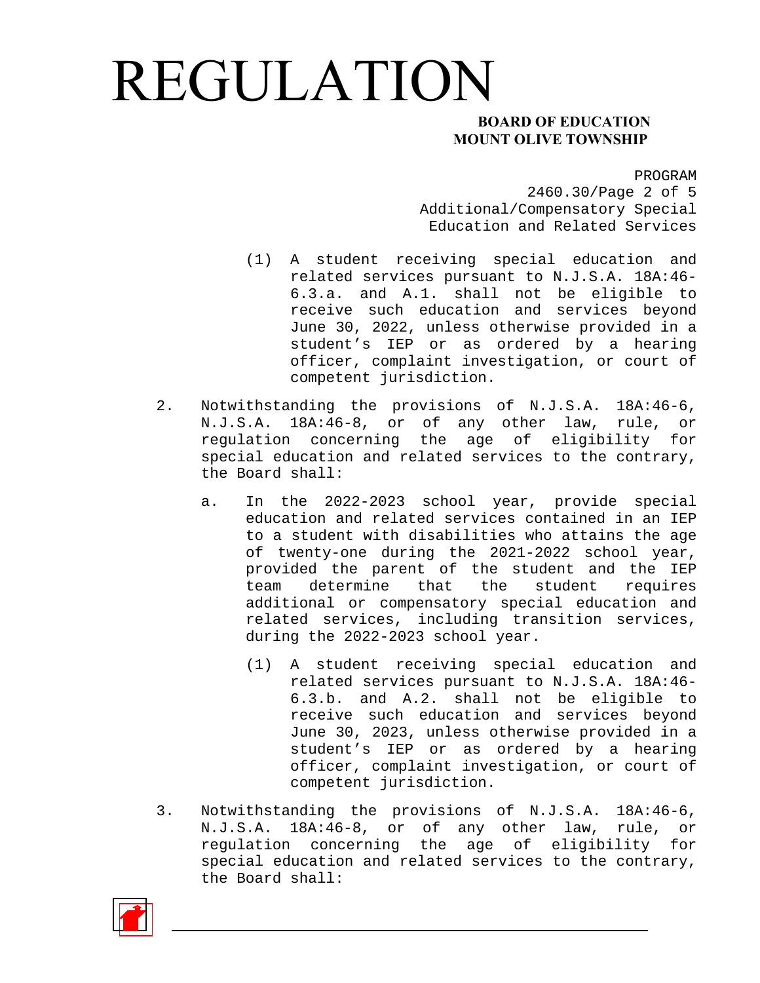### **MOUNT OLIVE TOWNSHIP**

PROGRAM

2460.30/Page 2 of 5 Additional/Compensatory Special Education and Related Services

- (1) A student receiving special education and related services pursuant to N.J.S.A. 18A:46- 6.3.a. and A.1. shall not be eligible to receive such education and services beyond June 30, 2022, unless otherwise provided in a student's IEP or as ordered by a hearing officer, complaint investigation, or court of competent jurisdiction.
- 2. Notwithstanding the provisions of N.J.S.A. 18A:46-6, N.J.S.A. 18A:46-8, or of any other law, rule, or regulation concerning the age of eligibility for special education and related services to the contrary, the Board shall:
	- a. In the 2022-2023 school year, provide special education and related services contained in an IEP to a student with disabilities who attains the age of twenty-one during the 2021-2022 school year, provided the parent of the student and the IEP team determine that the student requires additional or compensatory special education and related services, including transition services, during the 2022-2023 school year.
		- (1) A student receiving special education and related services pursuant to N.J.S.A. 18A:46- 6.3.b. and A.2. shall not be eligible to receive such education and services beyond June 30, 2023, unless otherwise provided in a student's IEP or as ordered by a hearing officer, complaint investigation, or court of competent jurisdiction.
- 3. Notwithstanding the provisions of N.J.S.A. 18A:46-6, N.J.S.A. 18A:46-8, or of any other law, rule, or regulation concerning the age of eligibility for special education and related services to the contrary, the Board shall:

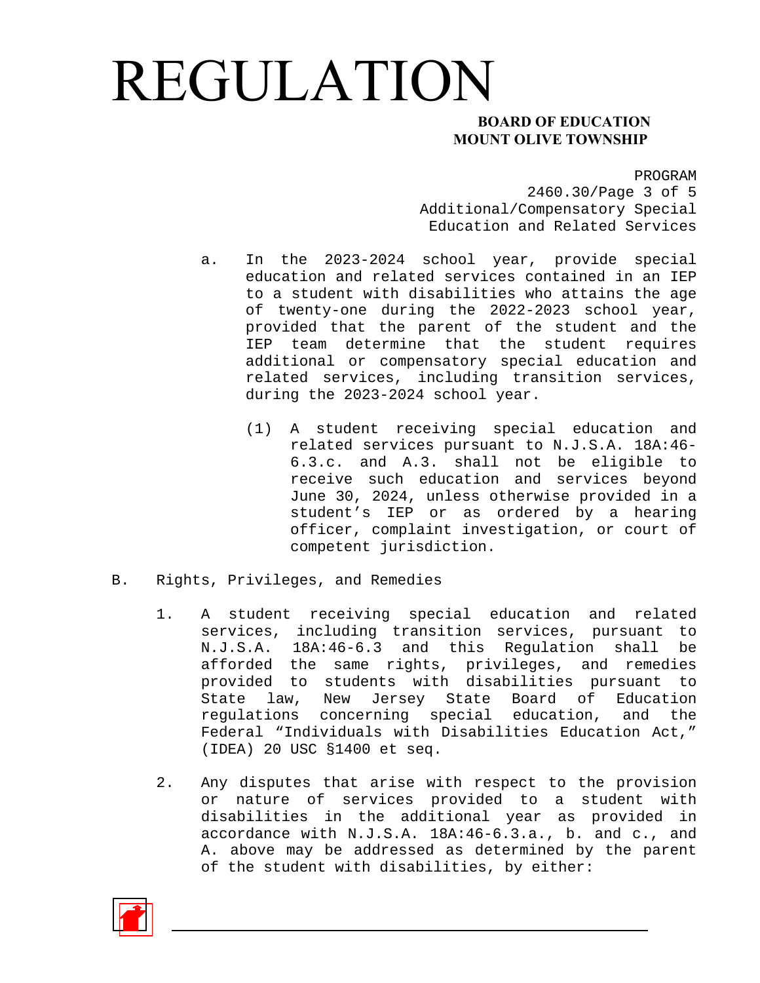### **MOUNT OLIVE TOWNSHIP**

PROGRAM

2460.30/Page 3 of 5 Additional/Compensatory Special Education and Related Services

- a. In the 2023-2024 school year, provide special education and related services contained in an IEP to a student with disabilities who attains the age of twenty-one during the 2022-2023 school year, provided that the parent of the student and the IEP team determine that the student requires additional or compensatory special education and related services, including transition services, during the 2023-2024 school year.
	- (1) A student receiving special education and related services pursuant to N.J.S.A. 18A:46- 6.3.c. and A.3. shall not be eligible to receive such education and services beyond June 30, 2024, unless otherwise provided in a student's IEP or as ordered by a hearing officer, complaint investigation, or court of competent jurisdiction.
- B. Rights, Privileges, and Remedies
	- 1. A student receiving special education and related services, including transition services, pursuant to N.J.S.A. 18A:46-6.3 and this Regulation shall be afforded the same rights, privileges, and remedies provided to students with disabilities pursuant to State law, New Jersey State Board of Education regulations concerning special education, and the Federal "Individuals with Disabilities Education Act," (IDEA) 20 USC §1400 et seq.
	- 2. Any disputes that arise with respect to the provision or nature of services provided to a student with disabilities in the additional year as provided in accordance with N.J.S.A. 18A:46-6.3.a., b. and c., and A. above may be addressed as determined by the parent of the student with disabilities, by either:

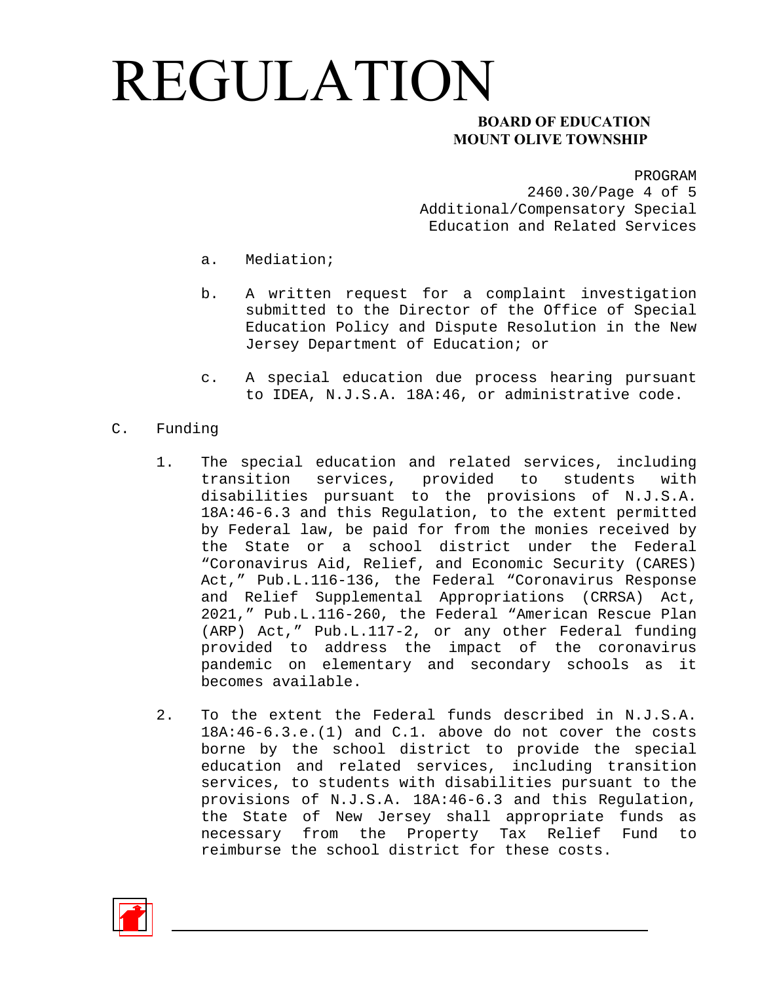### **MOUNT OLIVE TOWNSHIP**

PROGRAM

2460.30/Page 4 of 5 Additional/Compensatory Special Education and Related Services

- a. Mediation;
- b. A written request for a complaint investigation submitted to the Director of the Office of Special Education Policy and Dispute Resolution in the New Jersey Department of Education; or
- c. A special education due process hearing pursuant to IDEA, N.J.S.A. 18A:46, or administrative code.
- C. Funding
	- 1. The special education and related services, including transition services, provided to students with disabilities pursuant to the provisions of N.J.S.A. 18A:46-6.3 and this Regulation, to the extent permitted by Federal law, be paid for from the monies received by the State or a school district under the Federal "Coronavirus Aid, Relief, and Economic Security (CARES) Act," Pub.L.116-136, the Federal "Coronavirus Response and Relief Supplemental Appropriations (CRRSA) Act, 2021," Pub.L.116-260, the Federal "American Rescue Plan (ARP) Act," Pub.L.117-2, or any other Federal funding provided to address the impact of the coronavirus pandemic on elementary and secondary schools as it becomes available.
	- 2. To the extent the Federal funds described in N.J.S.A. 18A:46-6.3.e.(1) and C.1. above do not cover the costs borne by the school district to provide the special education and related services, including transition services, to students with disabilities pursuant to the provisions of N.J.S.A. 18A:46-6.3 and this Regulation, the State of New Jersey shall appropriate funds as necessary from the Property Tax Relief Fund to reimburse the school district for these costs.